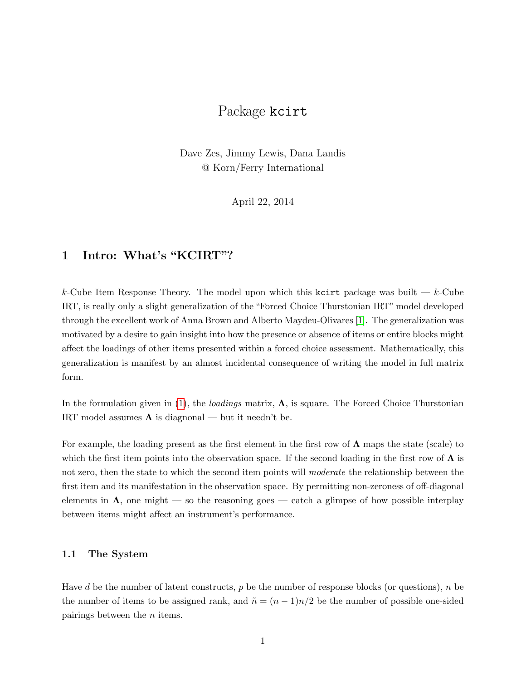## Package kcirt

Dave Zes, Jimmy Lewis, Dana Landis @ Korn/Ferry International

April 22, 2014

## 1 Intro: What's "KCIRT"?

k-Cube Item Response Theory. The model upon which this kcirt package was built  $-k$ -Cube IRT, is really only a slight generalization of the "Forced Choice Thurstonian IRT" model developed through the excellent work of Anna Brown and Alberto Maydeu-Olivares [\[1\]](#page-1-0). The generalization was motivated by a desire to gain insight into how the presence or absence of items or entire blocks might affect the loadings of other items presented within a forced choice assessment. Mathematically, this generalization is manifest by an almost incidental consequence of writing the model in full matrix form.

In the formulation given in [\(1\)](#page-1-1), the *loadings* matrix,  $\Lambda$ , is square. The Forced Choice Thurstonian IRT model assumes  $\Lambda$  is diagnonal — but it needn't be.

For example, the loading present as the first element in the first row of  $\Lambda$  maps the state (scale) to which the first item points into the observation space. If the second loading in the first row of  $\Lambda$  is not zero, then the state to which the second item points will *moderate* the relationship between the first item and its manifestation in the observation space. By permitting non-zeroness of off-diagonal elements in  $\Lambda$ , one might — so the reasoning goes — catch a glimpse of how possible interplay between items might affect an instrument's performance.

## 1.1 The System

Have d be the number of latent constructs,  $p$  be the number of response blocks (or questions),  $n$  be the number of items to be assigned rank, and  $\tilde{n} = (n-1)n/2$  be the number of possible one-sided pairings between the  $n$  items.